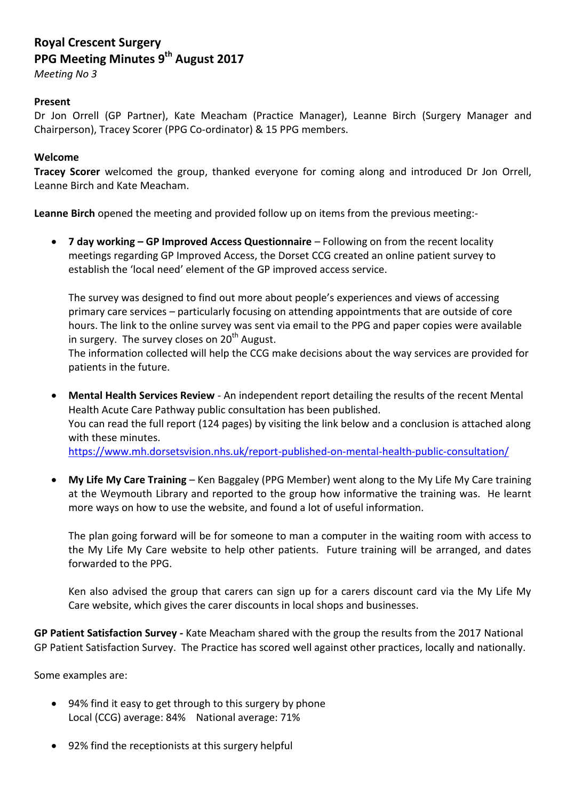# **Royal Crescent Surgery PPG Meeting Minutes 9 th August 2017**

*Meeting No 3*

#### **Present**

Dr Jon Orrell (GP Partner), Kate Meacham (Practice Manager), Leanne Birch (Surgery Manager and Chairperson), Tracey Scorer (PPG Co-ordinator) & 15 PPG members.

#### **Welcome**

**Tracey Scorer** welcomed the group, thanked everyone for coming along and introduced Dr Jon Orrell, Leanne Birch and Kate Meacham.

**Leanne Birch** opened the meeting and provided follow up on items from the previous meeting:-

 **7 day working – GP Improved Access Questionnaire** *–* Following on from the recent locality meetings regarding GP Improved Access, the Dorset CCG created an online patient survey to establish the 'local need' element of the GP improved access service.

The survey was designed to find out more about people's experiences and views of accessing primary care services – particularly focusing on attending appointments that are outside of core hours. The link to the online survey was sent via email to the PPG and paper copies were available in surgery. The survey closes on  $20<sup>th</sup>$  August.

The information collected will help the CCG make decisions about the way services are provided for patients in the future.

- **Mental Health Services Review** An independent report detailing the results of the recent Mental Health Acute Care Pathway public consultation has been published. You can read the full report (124 pages) by visiting the link below and a conclusion is attached along with these minutes. <https://www.mh.dorsetsvision.nhs.uk/report-published-on-mental-health-public-consultation/>
- **My Life My Care Training** Ken Baggaley (PPG Member) went along to the My Life My Care training at the Weymouth Library and reported to the group how informative the training was. He learnt more ways on how to use the website, and found a lot of useful information.

The plan going forward will be for someone to man a computer in the waiting room with access to the My Life My Care website to help other patients. Future training will be arranged, and dates forwarded to the PPG.

Ken also advised the group that carers can sign up for a carers discount card via the My Life My Care website, which gives the carer discounts in local shops and businesses.

**GP Patient Satisfaction Survey** *-* Kate Meacham shared with the group the results from the 2017 National GP Patient Satisfaction Survey. The Practice has scored well against other practices, locally and nationally.

Some examples are:

- 94% find it easy to get through to this surgery by phone Local (CCG) average: 84% National average: 71%
- 92% find the receptionists at this surgery helpful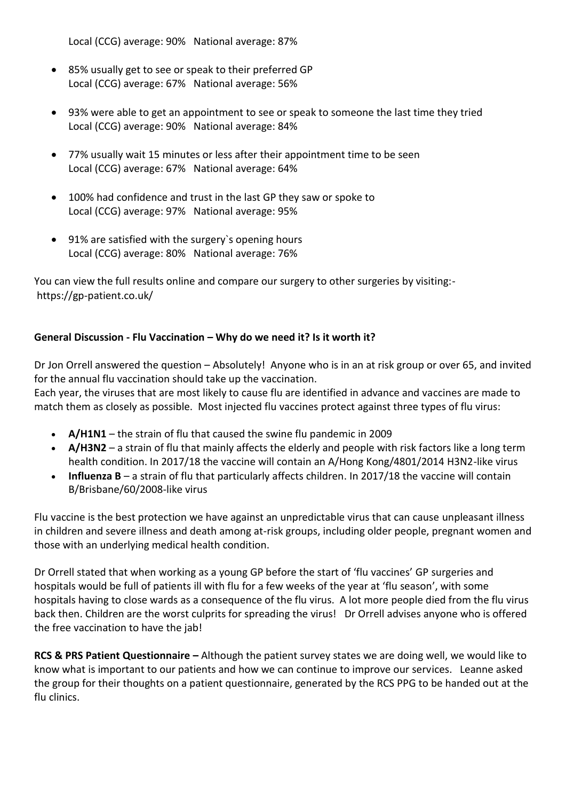Local (CCG) average: 90% National average: 87%

- 85% usually get to see or speak to their preferred GP Local (CCG) average: 67% National average: 56%
- 93% were able to get an appointment to see or speak to someone the last time they tried Local (CCG) average: 90% National average: 84%
- 77% usually wait 15 minutes or less after their appointment time to be seen Local (CCG) average: 67% National average: 64%
- 100% had confidence and trust in the last GP they saw or spoke to Local (CCG) average: 97% National average: 95%
- 91% are satisfied with the surgery`s opening hours Local (CCG) average: 80% National average: 76%

You can view the full results online and compare our surgery to other surgeries by visiting: https://gp-patient.co.uk/

## **General Discussion - Flu Vaccination – Why do we need it? Is it worth it?**

Dr Jon Orrell answered the question – Absolutely! Anyone who is in an at risk group or over 65, and invited for the annual flu vaccination should take up the vaccination.

Each year, the viruses that are most likely to cause flu are identified in advance and vaccines are made to match them as closely as possible. Most injected flu vaccines protect against three types of flu virus:

- **A/H1N1** the strain of flu that caused the swine flu pandemic in 2009
- **A/H3N2**  a strain of flu that mainly affects the elderly and people with risk factors like a long term health condition. In 2017/18 the vaccine will contain an A/Hong Kong/4801/2014 H3N2-like virus
- **Influenza B** a strain of flu that particularly affects children. In 2017/18 the vaccine will contain B/Brisbane/60/2008-like virus

Flu vaccine is the best protection we have against an unpredictable virus that can cause unpleasant illness in children and severe illness and death among at-risk groups, including older people, pregnant women and those with an underlying medical health condition.

Dr Orrell stated that when working as a young GP before the start of 'flu vaccines' GP surgeries and hospitals would be full of patients ill with flu for a few weeks of the year at 'flu season', with some hospitals having to close wards as a consequence of the flu virus. A lot more people died from the flu virus back then. Children are the worst culprits for spreading the virus! Dr Orrell advises anyone who is offered the free vaccination to have the jab!

**RCS & PRS Patient Questionnaire –** Although the patient survey states we are doing well, we would like to know what is important to our patients and how we can continue to improve our services. Leanne asked the group for their thoughts on a patient questionnaire, generated by the RCS PPG to be handed out at the flu clinics.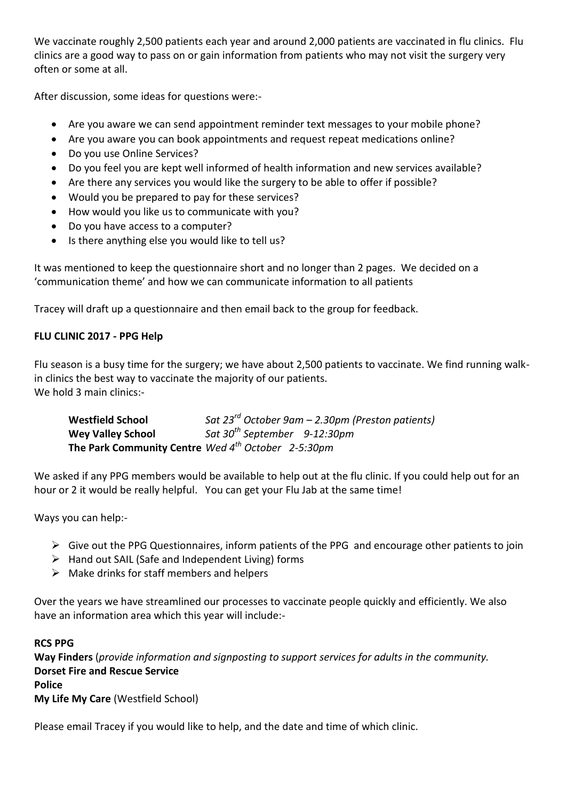We vaccinate roughly 2,500 patients each year and around 2,000 patients are vaccinated in flu clinics. Flu clinics are a good way to pass on or gain information from patients who may not visit the surgery very often or some at all.

After discussion, some ideas for questions were:-

- Are you aware we can send appointment reminder text messages to your mobile phone?
- Are you aware you can book appointments and request repeat medications online?
- Do you use Online Services?
- Do you feel you are kept well informed of health information and new services available?
- Are there any services you would like the surgery to be able to offer if possible?
- Would you be prepared to pay for these services?
- How would you like us to communicate with you?
- Do you have access to a computer?
- Is there anything else you would like to tell us?

It was mentioned to keep the questionnaire short and no longer than 2 pages. We decided on a 'communication theme' and how we can communicate information to all patients

Tracey will draft up a questionnaire and then email back to the group for feedback.

## **FLU CLINIC 2017 - PPG Help**

Flu season is a busy time for the surgery; we have about 2,500 patients to vaccinate. We find running walkin clinics the best way to vaccinate the majority of our patients. We hold 3 main clinics:-

**Westfield School** *Sat 23rd October 9am – 2.30pm (Preston patients)* **Wey Valley School** *Sat 30th September 9-12:30pm* **The Park Community Centre** *Wed 4th October 2-5:30pm*

We asked if any PPG members would be available to help out at the flu clinic. If you could help out for an hour or 2 it would be really helpful. You can get your Flu Jab at the same time!

Ways you can help:-

- $\triangleright$  Give out the PPG Questionnaires, inform patients of the PPG and encourage other patients to join
- $\triangleright$  Hand out SAIL (Safe and Independent Living) forms
- $\triangleright$  Make drinks for staff members and helpers

Over the years we have streamlined our processes to vaccinate people quickly and efficiently. We also have an information area which this year will include:-

## **RCS PPG**

**Way Finders** (*provide information and signposting to support services for adults in the community.* **Dorset Fire and Rescue Service Police My Life My Care** (Westfield School)

Please email Tracey if you would like to help, and the date and time of which clinic.